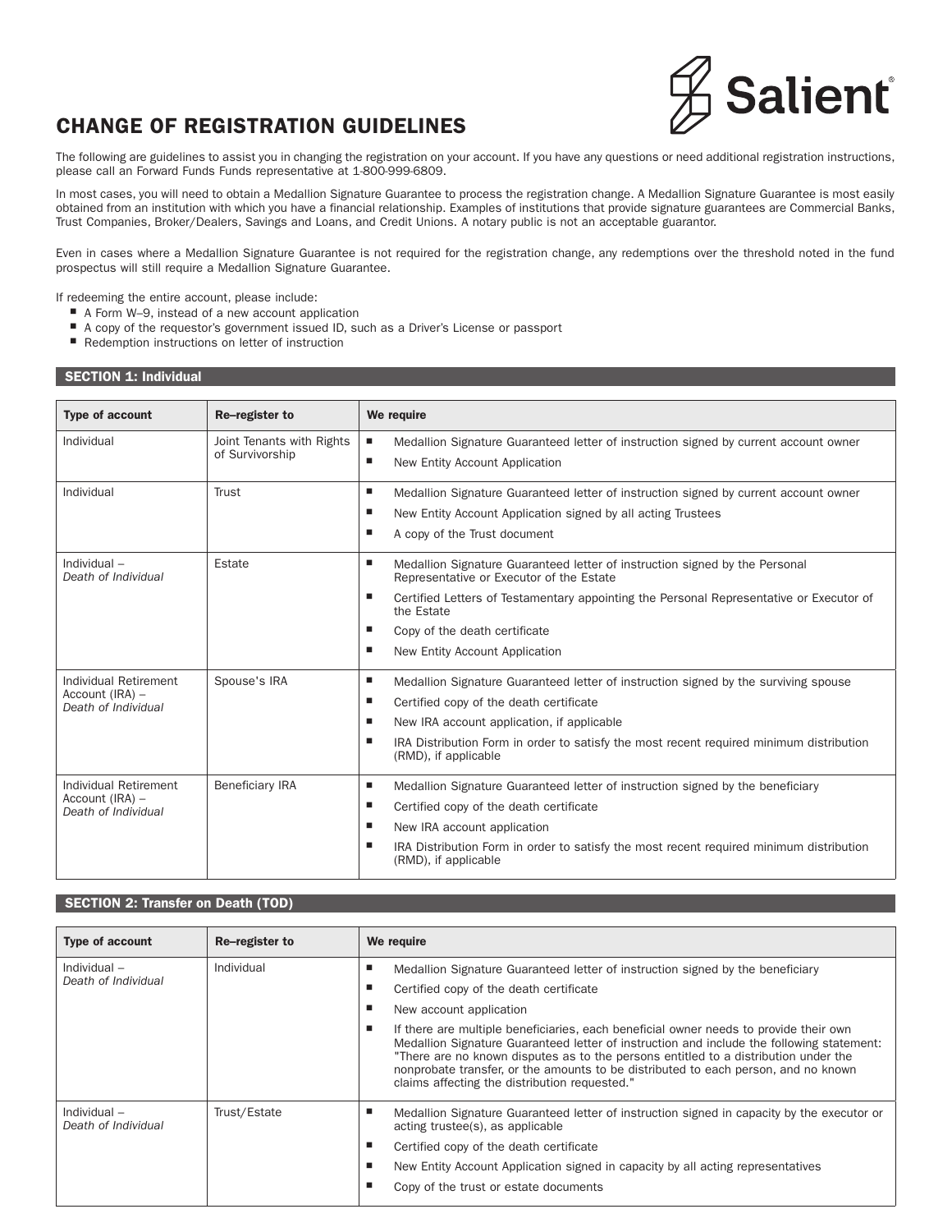# CHANGE OF REGISTRATION GUIDELINES



The following are guidelines to assist you in changing the registration on your account. If you have any questions or need additional registration instructions, please call an Forward Funds Funds representative at 1-800-999-6809.

In most cases, you will need to obtain a Medallion Signature Guarantee to process the registration change. A Medallion Signature Guarantee is most easily obtained from an institution with which you have a financial relationship. Examples of institutions that provide signature guarantees are Commercial Banks, Trust Companies, Broker/Dealers, Savings and Loans, and Credit Unions. A notary public is not an acceptable guarantor.

Even in cases where a Medallion Signature Guarantee is not required for the registration change, any redemptions over the threshold noted in the fund prospectus will still require a Medallion Signature Guarantee.

If redeeming the entire account, please include:

- $\blacksquare$  A Form W-9, instead of a new account application
- A copy of the requestor's government issued ID, such as a Driver's License or passport
- Redemption instructions on letter of instruction

## SECTION 1: Individual

| <b>Type of account</b>                                          | Re-register to                               | We require                                                                                                                                                                                                                                                                                                              |
|-----------------------------------------------------------------|----------------------------------------------|-------------------------------------------------------------------------------------------------------------------------------------------------------------------------------------------------------------------------------------------------------------------------------------------------------------------------|
| Individual                                                      | Joint Tenants with Rights<br>of Survivorship | ш<br>Medallion Signature Guaranteed letter of instruction signed by current account owner<br>ш<br>New Entity Account Application                                                                                                                                                                                        |
| Individual                                                      | Trust                                        | ш<br>Medallion Signature Guaranteed letter of instruction signed by current account owner<br>New Entity Account Application signed by all acting Trustees<br>ш<br>A copy of the Trust document<br>ш                                                                                                                     |
| Individual -<br>Death of Individual                             | Estate                                       | ш<br>Medallion Signature Guaranteed letter of instruction signed by the Personal<br>Representative or Executor of the Estate<br>ш<br>Certified Letters of Testamentary appointing the Personal Representative or Executor of<br>the Estate<br>ш<br>Copy of the death certificate<br>ш<br>New Entity Account Application |
| Individual Retirement<br>Account (IRA) -<br>Death of Individual | Spouse's IRA                                 | ш<br>Medallion Signature Guaranteed letter of instruction signed by the surviving spouse<br>ш<br>Certified copy of the death certificate<br>ш<br>New IRA account application, if applicable<br>ш<br>IRA Distribution Form in order to satisfy the most recent required minimum distribution<br>(RMD), if applicable     |
| Individual Retirement<br>Account (IRA) -<br>Death of Individual | <b>Beneficiary IRA</b>                       | Medallion Signature Guaranteed letter of instruction signed by the beneficiary<br>ш<br>ш<br>Certified copy of the death certificate<br>ш<br>New IRA account application<br>IRA Distribution Form in order to satisfy the most recent required minimum distribution<br>ш<br>(RMD), if applicable                         |

#### SECTION 2: Transfer on Death (TOD)

| <b>Type of account</b>              | Re-register to | We require                                                                                                                                                                                                                                                                                                                                                                                                       |
|-------------------------------------|----------------|------------------------------------------------------------------------------------------------------------------------------------------------------------------------------------------------------------------------------------------------------------------------------------------------------------------------------------------------------------------------------------------------------------------|
| Individual -<br>Death of Individual | Individual     | Medallion Signature Guaranteed letter of instruction signed by the beneficiary                                                                                                                                                                                                                                                                                                                                   |
|                                     |                | Certified copy of the death certificate                                                                                                                                                                                                                                                                                                                                                                          |
|                                     |                | New account application<br>■                                                                                                                                                                                                                                                                                                                                                                                     |
|                                     |                | If there are multiple beneficiaries, each beneficial owner needs to provide their own<br>Medallion Signature Guaranteed letter of instruction and include the following statement:<br>"There are no known disputes as to the persons entitled to a distribution under the<br>nonprobate transfer, or the amounts to be distributed to each person, and no known<br>claims affecting the distribution requested." |
| Individual -<br>Death of Individual | Trust/Estate   | Medallion Signature Guaranteed letter of instruction signed in capacity by the executor or<br>acting trustee(s), as applicable                                                                                                                                                                                                                                                                                   |
|                                     |                | Certified copy of the death certificate                                                                                                                                                                                                                                                                                                                                                                          |
|                                     |                | New Entity Account Application signed in capacity by all acting representatives<br>■                                                                                                                                                                                                                                                                                                                             |
|                                     |                | Copy of the trust or estate documents                                                                                                                                                                                                                                                                                                                                                                            |